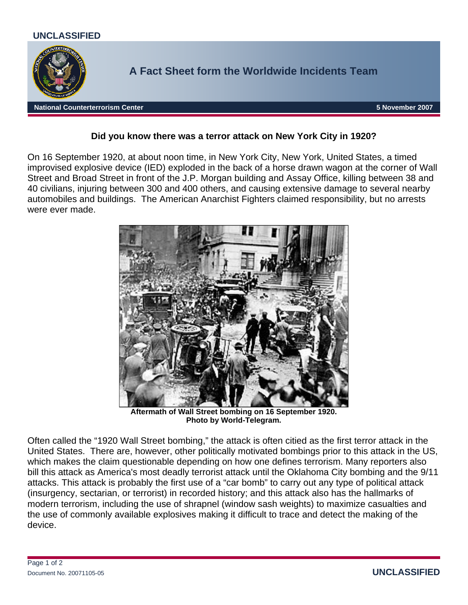

## **Did you know there was a terror attack on New York City in 1920?**

On 16 September 1920, at about noon time, in New York City, New York, United States, a timed improvised explosive device (IED) exploded in the back of a horse drawn wagon at the corner of Wall Street and Broad Street in front of the J.P. Morgan building and Assay Office, killing between 38 and 40 civilians, injuring between 300 and 400 others, and causing extensive damage to several nearby automobiles and buildings. The American Anarchist Fighters claimed responsibility, but no arrests were ever made.



**Aftermath of Wall Street bombing on 16 September 1920. Photo by World-Telegram.** 

Often called the "1920 Wall Street bombing," the attack is often citied as the first terror attack in the United States. There are, however, other politically motivated bombings prior to this attack in the US, which makes the claim questionable depending on how one defines terrorism. Many reporters also bill this attack as America's most deadly terrorist attack until the Oklahoma City bombing and the 9/11 attacks. This attack is probably the first use of a "car bomb" to carry out any type of political attack (insurgency, sectarian, or terrorist) in recorded history; and this attack also has the hallmarks of modern terrorism, including the use of shrapnel (window sash weights) to maximize casualties and the use of commonly available explosives making it difficult to trace and detect the making of the device.